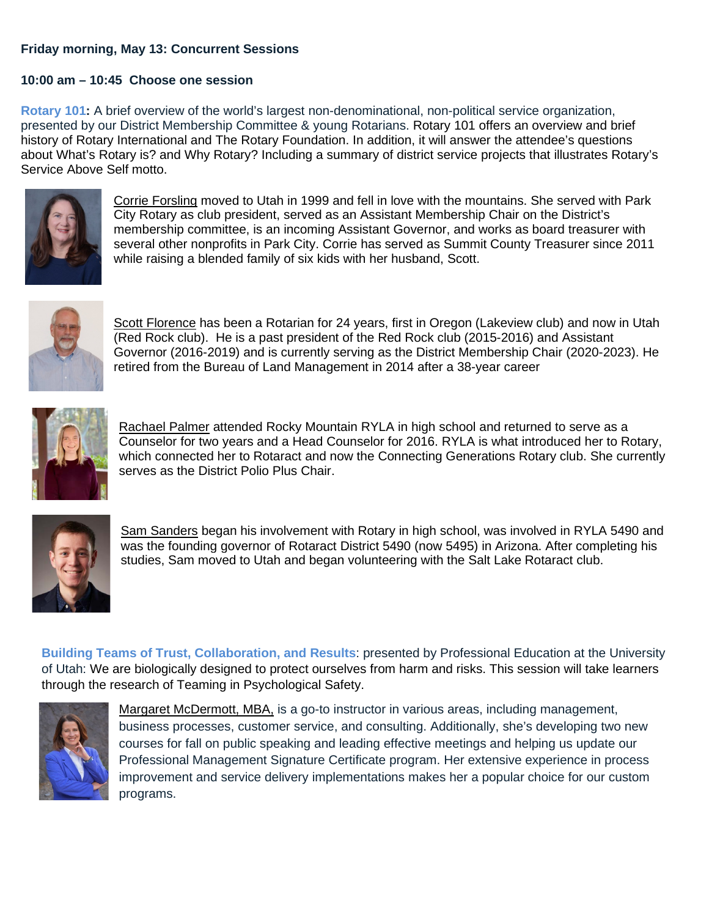## **Friday morning, May 13: Concurrent Sessions**

## **10:00 am – 10:45 Choose one session**

**Rotary 101:** A brief overview of the world's largest non-denominational, non-political service organization, presented by our District Membership Committee & young Rotarians. Rotary 101 offers an overview and brief history of Rotary International and The Rotary Foundation. In addition, it will answer the attendee's questions about What's Rotary is? and Why Rotary? Including a summary of district service projects that illustrates Rotary's Service Above Self motto.



Corrie Forsling moved to Utah in 1999 and fell in love with the mountains. She served with Park City Rotary as club president, served as an Assistant Membership Chair on the District's membership committee, is an incoming Assistant Governor, and works as board treasurer with several other nonprofits in Park City. Corrie has served as Summit County Treasurer since 2011 while raising a blended family of six kids with her husband, Scott.



Scott Florence has been a Rotarian for 24 years, first in Oregon (Lakeview club) and now in Utah (Red Rock club). He is a past president of the Red Rock club (2015-2016) and Assistant Governor (2016-2019) and is currently serving as the District Membership Chair (2020-2023). He retired from the Bureau of Land Management in 2014 after a 38-year career



Rachael Palmer attended Rocky Mountain RYLA in high school and returned to serve as a Counselor for two years and a Head Counselor for 2016. RYLA is what introduced her to Rotary, which connected her to Rotaract and now the Connecting Generations Rotary club. She currently serves as the District Polio Plus Chair.



Sam Sanders began his involvement with Rotary in high school, was involved in RYLA 5490 and was the founding governor of Rotaract District 5490 (now 5495) in Arizona. After completing his studies, Sam moved to Utah and began volunteering with the Salt Lake Rotaract club.

**Building Teams of Trust, Collaboration, and Results**: presented by Professional Education at the University of Utah: We are biologically designed to protect ourselves from harm and risks. This session will take learners through the research of Teaming in Psychological Safety.



Margaret McDermott, MBA, is a go-to instructor in various areas, including management, business processes, customer service, and consulting. Additionally, she's developing two new courses for fall on public speaking and leading effective meetings and helping us update our Professional Management Signature Certificate program. Her extensive experience in process improvement and service delivery implementations makes her a popular choice for our custom programs.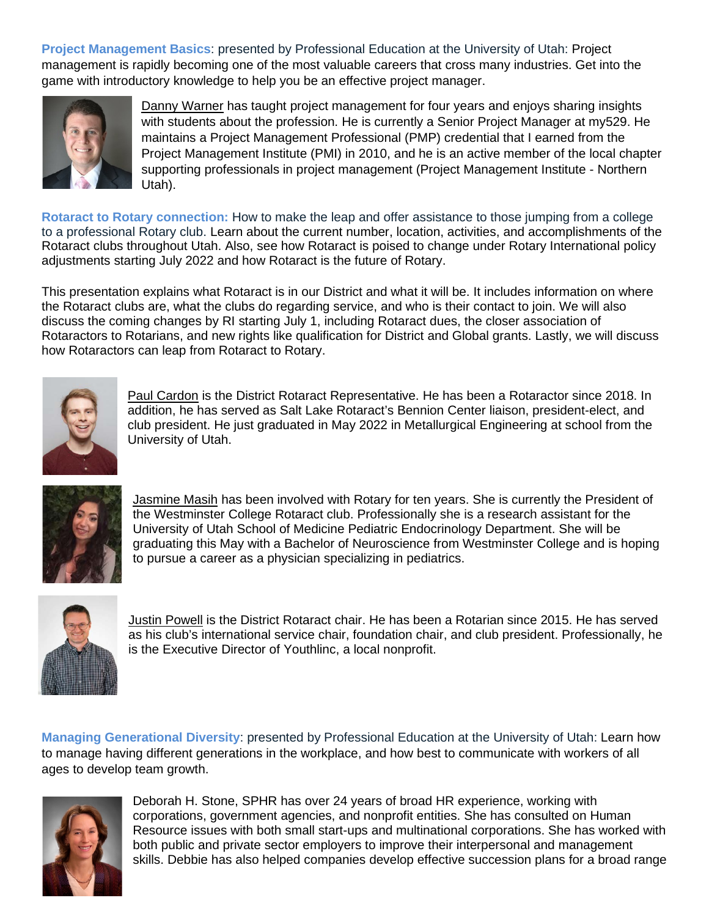**Project Management Basics**: presented by Professional Education at the University of Utah: Project management is rapidly becoming one of the most valuable careers that cross many industries. Get into the game with introductory knowledge to help you be an effective project manager.



Danny Warner has taught project management for four years and enjoys sharing insights with students about the profession. He is currently a Senior Project Manager at my529. He maintains a Project Management Professional (PMP) credential that I earned from the Project Management Institute (PMI) in 2010, and he is an active member of the local chapter supporting professionals in project management (Project Management Institute - Northern Utah).

**Rotaract to Rotary connection:** How to make the leap and offer assistance to those jumping from a college to a professional Rotary club. Learn about the current number, location, activities, and accomplishments of the Rotaract clubs throughout Utah. Also, see how Rotaract is poised to change under Rotary International policy adjustments starting July 2022 and how Rotaract is the future of Rotary.

This presentation explains what Rotaract is in our District and what it will be. It includes information on where the Rotaract clubs are, what the clubs do regarding service, and who is their contact to join. We will also discuss the coming changes by RI starting July 1, including Rotaract dues, the closer association of Rotaractors to Rotarians, and new rights like qualification for District and Global grants. Lastly, we will discuss how Rotaractors can leap from Rotaract to Rotary.



Paul Cardon is the District Rotaract Representative. He has been a Rotaractor since 2018. In addition, he has served as Salt Lake Rotaract's Bennion Center liaison, president-elect, and club president. He just graduated in May 2022 in Metallurgical Engineering at school from the University of Utah.



Jasmine Masih has been involved with Rotary for ten years. She is currently the President of the Westminster College Rotaract club. Professionally she is a research assistant for the University of Utah School of Medicine Pediatric Endocrinology Department. She will be graduating this May with a Bachelor of Neuroscience from Westminster College and is hoping to pursue a career as a physician specializing in pediatrics.



Justin Powell is the District Rotaract chair. He has been a Rotarian since 2015. He has served as his club's international service chair, foundation chair, and club president. Professionally, he is the Executive Director of Youthlinc, a local nonprofit.

**Managing Generational Diversity**: presented by Professional Education at the University of Utah: Learn how to manage having different generations in the workplace, and how best to communicate with workers of all ages to develop team growth.



Deborah H. Stone, SPHR has over 24 years of broad HR experience, working with corporations, government agencies, and nonprofit entities. She has consulted on Human Resource issues with both small start-ups and multinational corporations. She has worked with both public and private sector employers to improve their interpersonal and management skills. Debbie has also helped companies develop effective succession plans for a broad range